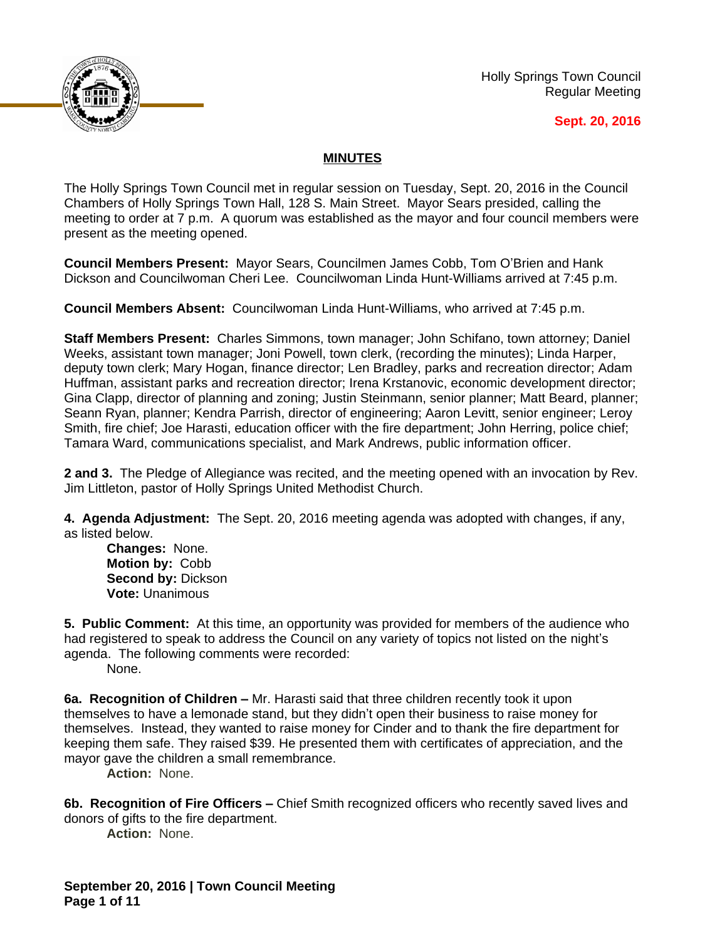

Holly Springs Town Council Regular Meeting

### **Sept. 20, 2016**

## **MINUTES**

The Holly Springs Town Council met in regular session on Tuesday, Sept. 20, 2016 in the Council Chambers of Holly Springs Town Hall, 128 S. Main Street. Mayor Sears presided, calling the meeting to order at 7 p.m. A quorum was established as the mayor and four council members were present as the meeting opened.

**Council Members Present:** Mayor Sears, Councilmen James Cobb, Tom O'Brien and Hank Dickson and Councilwoman Cheri Lee. Councilwoman Linda Hunt-Williams arrived at 7:45 p.m.

**Council Members Absent:** Councilwoman Linda Hunt-Williams, who arrived at 7:45 p.m.

**Staff Members Present:** Charles Simmons, town manager; John Schifano, town attorney; Daniel Weeks, assistant town manager; Joni Powell, town clerk, (recording the minutes); Linda Harper, deputy town clerk; Mary Hogan, finance director; Len Bradley, parks and recreation director; Adam Huffman, assistant parks and recreation director; Irena Krstanovic, economic development director; Gina Clapp, director of planning and zoning; Justin Steinmann, senior planner; Matt Beard, planner; Seann Ryan, planner; Kendra Parrish, director of engineering; Aaron Levitt, senior engineer; Leroy Smith, fire chief; Joe Harasti, education officer with the fire department; John Herring, police chief; Tamara Ward, communications specialist, and Mark Andrews, public information officer.

**2 and 3.** The Pledge of Allegiance was recited, and the meeting opened with an invocation by Rev. Jim Littleton, pastor of Holly Springs United Methodist Church.

**4. Agenda Adjustment:** The Sept. 20, 2016 meeting agenda was adopted with changes, if any, as listed below.

**Changes:** None. **Motion by:** Cobb **Second by: Dickson Vote:** Unanimous

**5. Public Comment:** At this time, an opportunity was provided for members of the audience who had registered to speak to address the Council on any variety of topics not listed on the night's agenda. The following comments were recorded:

None.

**6a. Recognition of Children –** Mr. Harasti said that three children recently took it upon themselves to have a lemonade stand, but they didn't open their business to raise money for themselves. Instead, they wanted to raise money for Cinder and to thank the fire department for keeping them safe. They raised \$39. He presented them with certificates of appreciation, and the mayor gave the children a small remembrance.

**Action:** None.

**6b. Recognition of Fire Officers –** Chief Smith recognized officers who recently saved lives and donors of gifts to the fire department.

**Action:** None.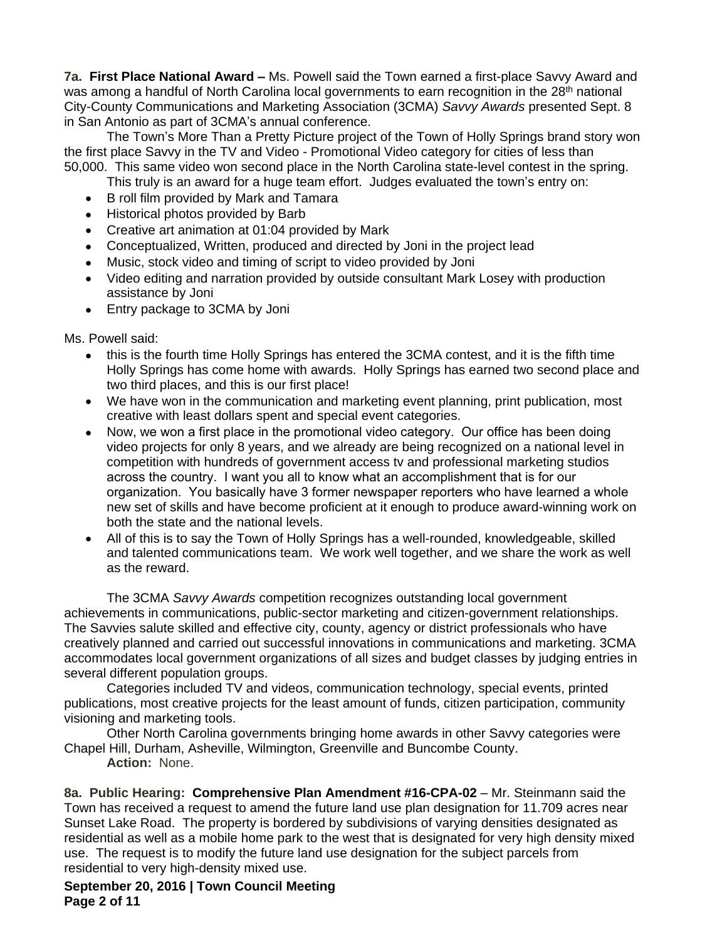**7a. First Place National Award –** Ms. Powell said the Town earned a first-place Savvy Award and was among a handful of North Carolina local governments to earn recognition in the 28<sup>th</sup> national City-County Communications and Marketing Association (3CMA) *Savvy Awards* presented Sept. 8 in San Antonio as part of 3CMA's annual conference.

The Town's More Than a Pretty Picture project of the Town of Holly Springs brand story won the first place Savvy in the TV and Video - Promotional Video category for cities of less than 50,000. This same video won second place in the North Carolina state-level contest in the spring.

This truly is an award for a huge team effort. Judges evaluated the town's entry on:

- B roll film provided by Mark and Tamara
- Historical photos provided by Barb
- Creative art animation at 01:04 provided by Mark
- Conceptualized, Written, produced and directed by Joni in the project lead
- Music, stock video and timing of script to video provided by Joni
- Video editing and narration provided by outside consultant Mark Losey with production assistance by Joni
- Entry package to 3CMA by Joni

Ms. Powell said:

- this is the fourth time Holly Springs has entered the 3CMA contest, and it is the fifth time Holly Springs has come home with awards. Holly Springs has earned two second place and two third places, and this is our first place!
- We have won in the communication and marketing event planning, print publication, most creative with least dollars spent and special event categories.
- Now, we won a first place in the promotional video category. Our office has been doing video projects for only 8 years, and we already are being recognized on a national level in competition with hundreds of government access tv and professional marketing studios across the country. I want you all to know what an accomplishment that is for our organization. You basically have 3 former newspaper reporters who have learned a whole new set of skills and have become proficient at it enough to produce award-winning work on both the state and the national levels.
- All of this is to say the Town of Holly Springs has a well-rounded, knowledgeable, skilled and talented communications team. We work well together, and we share the work as well as the reward.

The 3CMA *Savvy Awards* competition recognizes outstanding local government achievements in communications, public-sector marketing and citizen-government relationships. The Savvies salute skilled and effective city, county, agency or district professionals who have creatively planned and carried out successful innovations in communications and marketing. 3CMA accommodates local government organizations of all sizes and budget classes by judging entries in several different population groups.

Categories included TV and videos, communication technology, special events, printed publications, most creative projects for the least amount of funds, citizen participation, community visioning and marketing tools.

Other North Carolina governments bringing home awards in other Savvy categories were Chapel Hill, Durham, Asheville, Wilmington, Greenville and Buncombe County. **Action:** None.

**8a. Public Hearing: Comprehensive Plan Amendment #16-CPA-02** – Mr. Steinmann said the Town has received a request to amend the future land use plan designation for 11.709 acres near Sunset Lake Road. The property is bordered by subdivisions of varying densities designated as residential as well as a mobile home park to the west that is designated for very high density mixed use. The request is to modify the future land use designation for the subject parcels from residential to very high-density mixed use.

**September 20, 2016 | Town Council Meeting Page 2 of 11**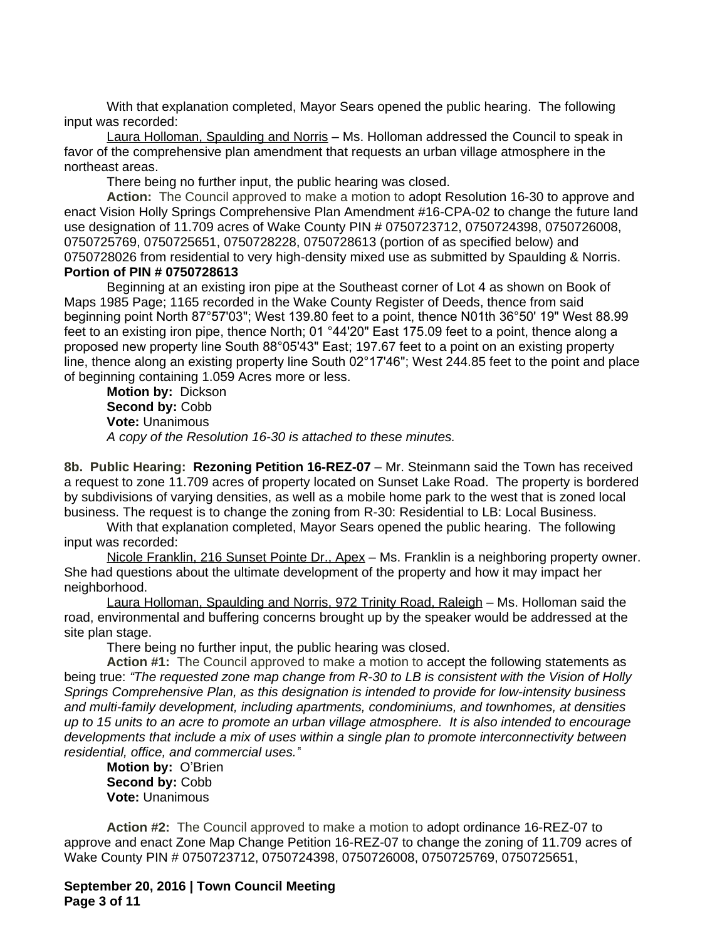With that explanation completed, Mayor Sears opened the public hearing. The following input was recorded:

Laura Holloman, Spaulding and Norris - Ms. Holloman addressed the Council to speak in favor of the comprehensive plan amendment that requests an urban village atmosphere in the northeast areas.

There being no further input, the public hearing was closed.

**Action:** The Council approved to make a motion to adopt Resolution 16-30 to approve and enact Vision Holly Springs Comprehensive Plan Amendment #16-CPA-02 to change the future land use designation of 11.709 acres of Wake County PIN # 0750723712, 0750724398, 0750726008, 0750725769, 0750725651, 0750728228, 0750728613 (portion of as specified below) and 0750728026 from residential to very high-density mixed use as submitted by Spaulding & Norris. **Portion of PIN # 0750728613**

Beginning at an existing iron pipe at the Southeast corner of Lot 4 as shown on Book of Maps 1985 Page; 1165 recorded in the Wake County Register of Deeds, thence from said beginning point North 87°57'03"; West 139.80 feet to a point, thence N01th 36°50' 19" West 88.99 feet to an existing iron pipe, thence North; 01 °44'20" East 175.09 feet to a point, thence along a proposed new property line South 88°05'43" East; 197.67 feet to a point on an existing property line, thence along an existing property line South 02°17'46"; West 244.85 feet to the point and place of beginning containing 1.059 Acres more or less.

**Motion by:** Dickson Second by: Cobb **Vote:** Unanimous *A copy of the Resolution 16-30 is attached to these minutes.*

**8b. Public Hearing: Rezoning Petition 16-REZ-07** – Mr. Steinmann said the Town has received a request to zone 11.709 acres of property located on Sunset Lake Road. The property is bordered by subdivisions of varying densities, as well as a mobile home park to the west that is zoned local business. The request is to change the zoning from R-30: Residential to LB: Local Business.

With that explanation completed, Mayor Sears opened the public hearing. The following input was recorded:

Nicole Franklin, 216 Sunset Pointe Dr., Apex - Ms. Franklin is a neighboring property owner. She had questions about the ultimate development of the property and how it may impact her neighborhood.

Laura Holloman, Spaulding and Norris, 972 Trinity Road, Raleigh – Ms. Holloman said the road, environmental and buffering concerns brought up by the speaker would be addressed at the site plan stage.

There being no further input, the public hearing was closed.

**Action #1:** The Council approved to make a motion to accept the following statements as being true: *"The requested zone map change from R-30 to LB is consistent with the Vision of Holly Springs Comprehensive Plan, as this designation is intended to provide for low-intensity business and multi-family development, including apartments, condominiums, and townhomes, at densities up to 15 units to an acre to promote an urban village atmosphere. It is also intended to encourage developments that include a mix of uses within a single plan to promote interconnectivity between residential, office, and commercial uses."*

**Motion by:** O'Brien **Second by:** Cobb **Vote:** Unanimous

**Action #2:** The Council approved to make a motion to adopt ordinance 16-REZ-07 to approve and enact Zone Map Change Petition 16-REZ-07 to change the zoning of 11.709 acres of Wake County PIN # 0750723712, 0750724398, 0750726008, 0750725769, 0750725651,

**September 20, 2016 | Town Council Meeting Page 3 of 11**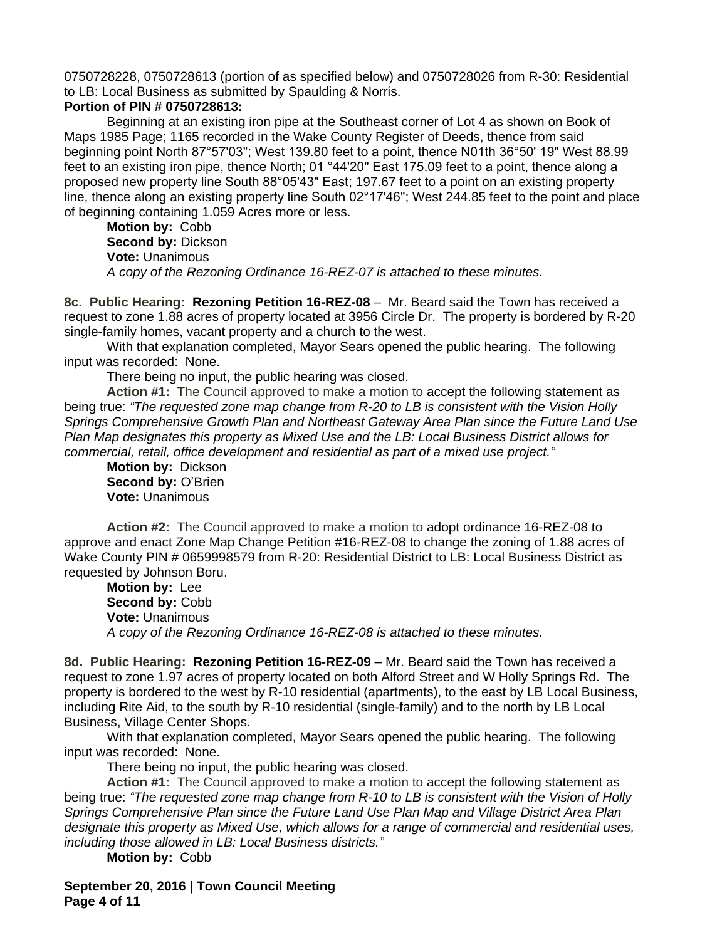0750728228, 0750728613 (portion of as specified below) and 0750728026 from R-30: Residential to LB: Local Business as submitted by Spaulding & Norris.

#### **Portion of PIN # 0750728613:**

Beginning at an existing iron pipe at the Southeast corner of Lot 4 as shown on Book of Maps 1985 Page; 1165 recorded in the Wake County Register of Deeds, thence from said beginning point North 87°57'03"; West 139.80 feet to a point, thence N01th 36°50' 19" West 88.99 feet to an existing iron pipe, thence North; 01 °44'20" East 175.09 feet to a point, thence along a proposed new property line South 88°05'43" East; 197.67 feet to a point on an existing property line, thence along an existing property line South 02°17'46"; West 244.85 feet to the point and place of beginning containing 1.059 Acres more or less.

**Motion by:** Cobb **Second by:** Dickson **Vote:** Unanimous *A copy of the Rezoning Ordinance 16-REZ-07 is attached to these minutes.*

**8c. Public Hearing: Rezoning Petition 16-REZ-08** – Mr. Beard said the Town has received a request to zone 1.88 acres of property located at 3956 Circle Dr. The property is bordered by R-20 single-family homes, vacant property and a church to the west.

With that explanation completed, Mayor Sears opened the public hearing. The following input was recorded: None.

There being no input, the public hearing was closed.

**Action #1:** The Council approved to make a motion to accept the following statement as being true: *"The requested zone map change from R-20 to LB is consistent with the Vision Holly Springs Comprehensive Growth Plan and Northeast Gateway Area Plan since the Future Land Use Plan Map designates this property as Mixed Use and the LB: Local Business District allows for commercial, retail, office development and residential as part of a mixed use project."*

**Motion by:** Dickson **Second by:** O'Brien **Vote:** Unanimous

**Action #2:** The Council approved to make a motion to adopt ordinance 16-REZ-08 to approve and enact Zone Map Change Petition #16-REZ-08 to change the zoning of 1.88 acres of Wake County PIN # 0659998579 from R-20: Residential District to LB: Local Business District as requested by Johnson Boru.

**Motion by:** Lee Second by: Cobb **Vote:** Unanimous *A copy of the Rezoning Ordinance 16-REZ-08 is attached to these minutes.*

**8d. Public Hearing: Rezoning Petition 16-REZ-09** – Mr. Beard said the Town has received a request to zone 1.97 acres of property located on both Alford Street and W Holly Springs Rd. The property is bordered to the west by R-10 residential (apartments), to the east by LB Local Business, including Rite Aid, to the south by R-10 residential (single-family) and to the north by LB Local Business, Village Center Shops.

With that explanation completed, Mayor Sears opened the public hearing. The following input was recorded: None.

There being no input, the public hearing was closed.

**Action #1:** The Council approved to make a motion to accept the following statement as being true: *"The requested zone map change from R-10 to LB is consistent with the Vision of Holly Springs Comprehensive Plan since the Future Land Use Plan Map and Village District Area Plan designate this property as Mixed Use, which allows for a range of commercial and residential uses, including those allowed in LB: Local Business districts."*

**Motion by:** Cobb

**September 20, 2016 | Town Council Meeting Page 4 of 11**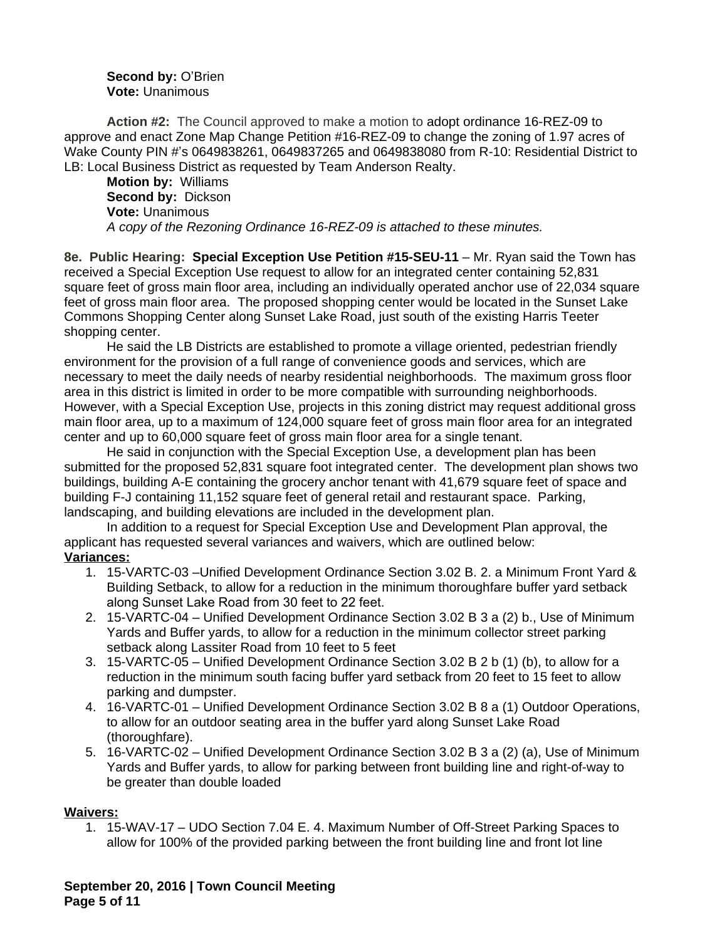### Second by: O'Brien **Vote:** Unanimous

**Action #2:** The Council approved to make a motion to adopt ordinance 16-REZ-09 to approve and enact Zone Map Change Petition #16-REZ-09 to change the zoning of 1.97 acres of Wake County PIN #'s 0649838261, 0649837265 and 0649838080 from R-10: Residential District to LB: Local Business District as requested by Team Anderson Realty.

**Motion by:** Williams **Second by:** Dickson **Vote:** Unanimous *A copy of the Rezoning Ordinance 16-REZ-09 is attached to these minutes.*

**8e. Public Hearing: Special Exception Use Petition #15-SEU-11** – Mr. Ryan said the Town has received a Special Exception Use request to allow for an integrated center containing 52,831 square feet of gross main floor area, including an individually operated anchor use of 22,034 square feet of gross main floor area. The proposed shopping center would be located in the Sunset Lake Commons Shopping Center along Sunset Lake Road, just south of the existing Harris Teeter shopping center.

He said the LB Districts are established to promote a village oriented, pedestrian friendly environment for the provision of a full range of convenience goods and services, which are necessary to meet the daily needs of nearby residential neighborhoods. The maximum gross floor area in this district is limited in order to be more compatible with surrounding neighborhoods. However, with a Special Exception Use, projects in this zoning district may request additional gross main floor area, up to a maximum of 124,000 square feet of gross main floor area for an integrated center and up to 60,000 square feet of gross main floor area for a single tenant.

He said in conjunction with the Special Exception Use, a development plan has been submitted for the proposed 52,831 square foot integrated center. The development plan shows two buildings, building A-E containing the grocery anchor tenant with 41,679 square feet of space and building F-J containing 11,152 square feet of general retail and restaurant space. Parking, landscaping, and building elevations are included in the development plan.

In addition to a request for Special Exception Use and Development Plan approval, the applicant has requested several variances and waivers, which are outlined below: **Variances:**

- 1. 15-VARTC-03 –Unified Development Ordinance Section 3.02 B. 2. a Minimum Front Yard & Building Setback, to allow for a reduction in the minimum thoroughfare buffer yard setback along Sunset Lake Road from 30 feet to 22 feet.
- 2. 15-VARTC-04 Unified Development Ordinance Section 3.02 B 3 a (2) b., Use of Minimum Yards and Buffer yards, to allow for a reduction in the minimum collector street parking setback along Lassiter Road from 10 feet to 5 feet
- 3. 15-VARTC-05 Unified Development Ordinance Section 3.02 B 2 b (1) (b), to allow for a reduction in the minimum south facing buffer yard setback from 20 feet to 15 feet to allow parking and dumpster.
- 4. 16-VARTC-01 Unified Development Ordinance Section 3.02 B 8 a (1) Outdoor Operations, to allow for an outdoor seating area in the buffer yard along Sunset Lake Road (thoroughfare).
- 5. 16-VARTC-02 Unified Development Ordinance Section 3.02 B 3 a (2) (a), Use of Minimum Yards and Buffer yards, to allow for parking between front building line and right-of-way to be greater than double loaded

## **Waivers:**

1. 15-WAV-17 – UDO Section 7.04 E. 4. Maximum Number of Off-Street Parking Spaces to allow for 100% of the provided parking between the front building line and front lot line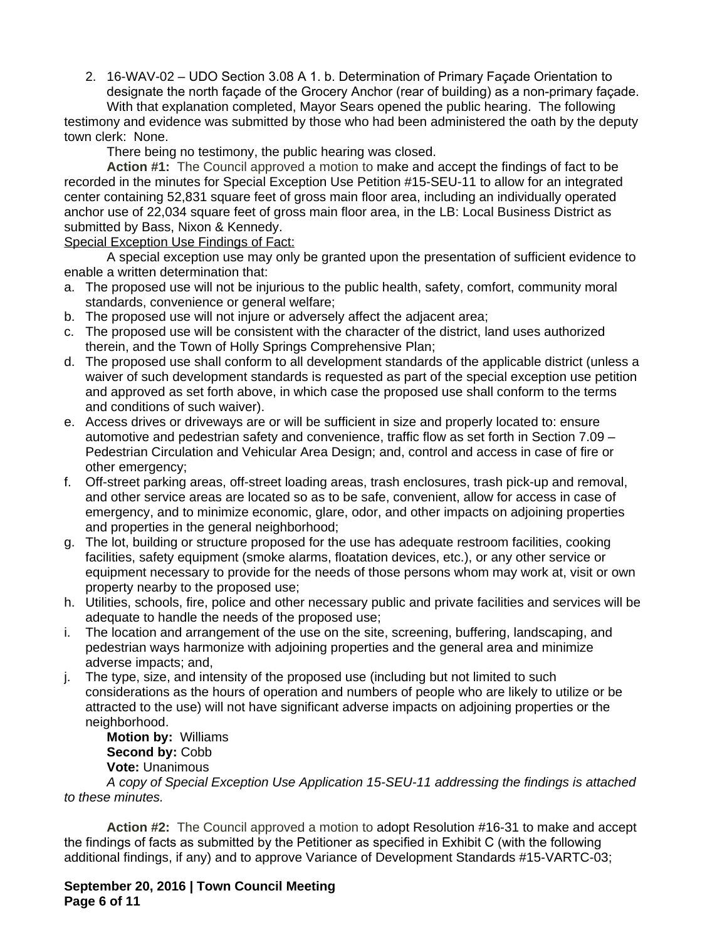2. 16-WAV-02 – UDO Section 3.08 A 1. b. Determination of Primary Façade Orientation to designate the north façade of the Grocery Anchor (rear of building) as a non-primary façade.

With that explanation completed, Mayor Sears opened the public hearing. The following testimony and evidence was submitted by those who had been administered the oath by the deputy town clerk: None.

There being no testimony, the public hearing was closed.

**Action #1:** The Council approved a motion to make and accept the findings of fact to be recorded in the minutes for Special Exception Use Petition #15-SEU-11 to allow for an integrated center containing 52,831 square feet of gross main floor area, including an individually operated anchor use of 22,034 square feet of gross main floor area, in the LB: Local Business District as submitted by Bass, Nixon & Kennedy.

### Special Exception Use Findings of Fact:

A special exception use may only be granted upon the presentation of sufficient evidence to enable a written determination that:

- a. The proposed use will not be injurious to the public health, safety, comfort, community moral standards, convenience or general welfare;
- b. The proposed use will not injure or adversely affect the adjacent area;
- c. The proposed use will be consistent with the character of the district, land uses authorized therein, and the Town of Holly Springs Comprehensive Plan;
- d. The proposed use shall conform to all development standards of the applicable district (unless a waiver of such development standards is requested as part of the special exception use petition and approved as set forth above, in which case the proposed use shall conform to the terms and conditions of such waiver).
- e. Access drives or driveways are or will be sufficient in size and properly located to: ensure automotive and pedestrian safety and convenience, traffic flow as set forth in Section 7.09 – Pedestrian Circulation and Vehicular Area Design; and, control and access in case of fire or other emergency;
- f. Off-street parking areas, off-street loading areas, trash enclosures, trash pick-up and removal, and other service areas are located so as to be safe, convenient, allow for access in case of emergency, and to minimize economic, glare, odor, and other impacts on adjoining properties and properties in the general neighborhood;
- g. The lot, building or structure proposed for the use has adequate restroom facilities, cooking facilities, safety equipment (smoke alarms, floatation devices, etc.), or any other service or equipment necessary to provide for the needs of those persons whom may work at, visit or own property nearby to the proposed use;
- h. Utilities, schools, fire, police and other necessary public and private facilities and services will be adequate to handle the needs of the proposed use;
- i. The location and arrangement of the use on the site, screening, buffering, landscaping, and pedestrian ways harmonize with adjoining properties and the general area and minimize adverse impacts; and,
- j. The type, size, and intensity of the proposed use (including but not limited to such considerations as the hours of operation and numbers of people who are likely to utilize or be attracted to the use) will not have significant adverse impacts on adjoining properties or the neighborhood.

**Motion by:** Williams Second by: Cobb **Vote:** Unanimous

*A copy of Special Exception Use Application 15-SEU-11 addressing the findings is attached to these minutes.*

**Action #2:** The Council approved a motion to adopt Resolution #16-31 to make and accept the findings of facts as submitted by the Petitioner as specified in Exhibit C (with the following additional findings, if any) and to approve Variance of Development Standards #15-VARTC-03;

**September 20, 2016 | Town Council Meeting Page 6 of 11**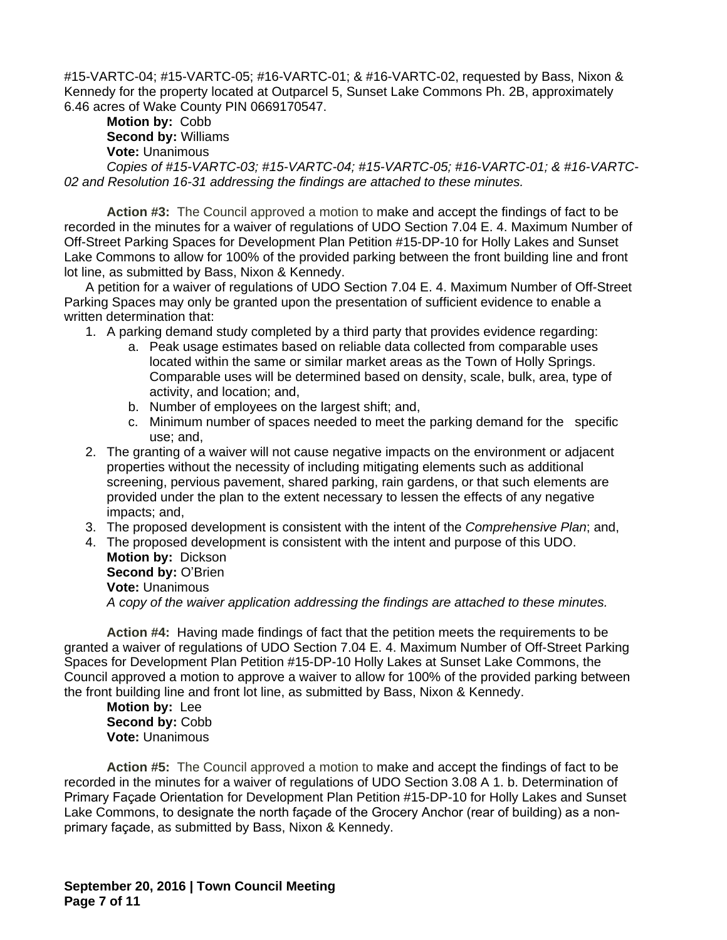#15-VARTC-04; #15-VARTC-05; #16-VARTC-01; & #16-VARTC-02, requested by Bass, Nixon & Kennedy for the property located at Outparcel 5, Sunset Lake Commons Ph. 2B, approximately 6.46 acres of Wake County PIN 0669170547.

# **Motion by:** Cobb **Second by:** Williams **Vote:** Unanimous

*Copies of #15-VARTC-03; #15-VARTC-04; #15-VARTC-05; #16-VARTC-01; & #16-VARTC-02 and Resolution 16-31 addressing the findings are attached to these minutes.*

**Action #3:** The Council approved a motion to make and accept the findings of fact to be recorded in the minutes for a waiver of regulations of UDO Section 7.04 E. 4. Maximum Number of Off-Street Parking Spaces for Development Plan Petition #15-DP-10 for Holly Lakes and Sunset Lake Commons to allow for 100% of the provided parking between the front building line and front lot line, as submitted by Bass, Nixon & Kennedy.

A petition for a waiver of regulations of UDO Section 7.04 E. 4. Maximum Number of Off-Street Parking Spaces may only be granted upon the presentation of sufficient evidence to enable a written determination that:

- 1. A parking demand study completed by a third party that provides evidence regarding:
	- a. Peak usage estimates based on reliable data collected from comparable uses located within the same or similar market areas as the Town of Holly Springs. Comparable uses will be determined based on density, scale, bulk, area, type of activity, and location; and,
	- b. Number of employees on the largest shift; and,
	- c. Minimum number of spaces needed to meet the parking demand for the specific use; and,
- 2. The granting of a waiver will not cause negative impacts on the environment or adjacent properties without the necessity of including mitigating elements such as additional screening, pervious pavement, shared parking, rain gardens, or that such elements are provided under the plan to the extent necessary to lessen the effects of any negative impacts; and,
- 3. The proposed development is consistent with the intent of the *Comprehensive Plan*; and,
- 4. The proposed development is consistent with the intent and purpose of this UDO. **Motion by:** Dickson **Second by: O'Brien Vote:** Unanimous *A copy of the waiver application addressing the findings are attached to these minutes.*

**Action #4:** Having made findings of fact that the petition meets the requirements to be granted a waiver of regulations of UDO Section 7.04 E. 4. Maximum Number of Off-Street Parking Spaces for Development Plan Petition #15-DP-10 Holly Lakes at Sunset Lake Commons, the Council approved a motion to approve a waiver to allow for 100% of the provided parking between the front building line and front lot line, as submitted by Bass, Nixon & Kennedy.

**Motion by:** Lee Second by: Cobb **Vote:** Unanimous

**Action #5:** The Council approved a motion to make and accept the findings of fact to be recorded in the minutes for a waiver of regulations of UDO Section 3.08 A 1. b. Determination of Primary Façade Orientation for Development Plan Petition #15-DP-10 for Holly Lakes and Sunset Lake Commons, to designate the north façade of the Grocery Anchor (rear of building) as a nonprimary façade, as submitted by Bass, Nixon & Kennedy.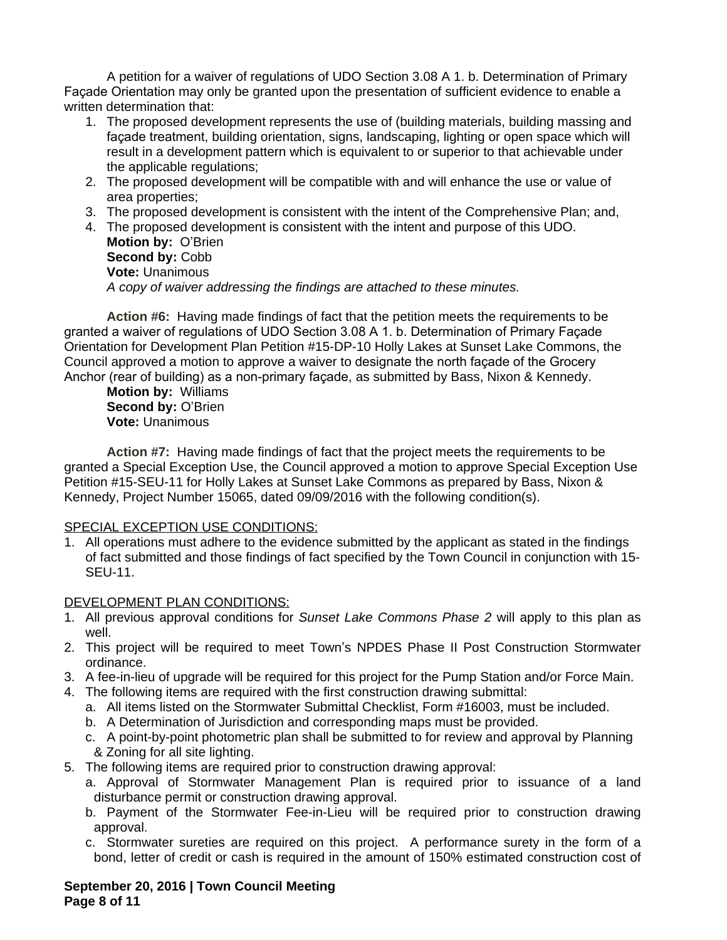A petition for a waiver of regulations of UDO Section 3.08 A 1. b. Determination of Primary Façade Orientation may only be granted upon the presentation of sufficient evidence to enable a written determination that:

- 1. The proposed development represents the use of (building materials, building massing and façade treatment, building orientation, signs, landscaping, lighting or open space which will result in a development pattern which is equivalent to or superior to that achievable under the applicable regulations;
- 2. The proposed development will be compatible with and will enhance the use or value of area properties;
- 3. The proposed development is consistent with the intent of the Comprehensive Plan; and,
- 4. The proposed development is consistent with the intent and purpose of this UDO. **Motion by:** O'Brien Second by: Cobb **Vote:** Unanimous *A copy of waiver addressing the findings are attached to these minutes.*

**Action #6:** Having made findings of fact that the petition meets the requirements to be granted a waiver of regulations of UDO Section 3.08 A 1. b. Determination of Primary Façade Orientation for Development Plan Petition #15-DP-10 Holly Lakes at Sunset Lake Commons, the Council approved a motion to approve a waiver to designate the north façade of the Grocery Anchor (rear of building) as a non-primary façade, as submitted by Bass, Nixon & Kennedy.

**Motion by:** Williams Second by: O'Brien **Vote:** Unanimous

**Action #7:** Having made findings of fact that the project meets the requirements to be granted a Special Exception Use, the Council approved a motion to approve Special Exception Use Petition #15-SEU-11 for Holly Lakes at Sunset Lake Commons as prepared by Bass, Nixon & Kennedy, Project Number 15065, dated 09/09/2016 with the following condition(s).

## SPECIAL EXCEPTION USE CONDITIONS:

1. All operations must adhere to the evidence submitted by the applicant as stated in the findings of fact submitted and those findings of fact specified by the Town Council in conjunction with 15- SEU-11.

## DEVELOPMENT PLAN CONDITIONS:

- 1. All previous approval conditions for *Sunset Lake Commons Phase 2* will apply to this plan as well.
- 2. This project will be required to meet Town's NPDES Phase II Post Construction Stormwater ordinance.
- 3. A fee-in-lieu of upgrade will be required for this project for the Pump Station and/or Force Main.
- 4. The following items are required with the first construction drawing submittal:
	- a. All items listed on the Stormwater Submittal Checklist, Form #16003, must be included.
	- b. A Determination of Jurisdiction and corresponding maps must be provided.
	- c. A point-by-point photometric plan shall be submitted to for review and approval by Planning & Zoning for all site lighting.
- 5. The following items are required prior to construction drawing approval:
	- a. Approval of Stormwater Management Plan is required prior to issuance of a land disturbance permit or construction drawing approval.
	- b. Payment of the Stormwater Fee-in-Lieu will be required prior to construction drawing approval.
	- c. Stormwater sureties are required on this project. A performance surety in the form of a bond, letter of credit or cash is required in the amount of 150% estimated construction cost of

**September 20, 2016 | Town Council Meeting Page 8 of 11**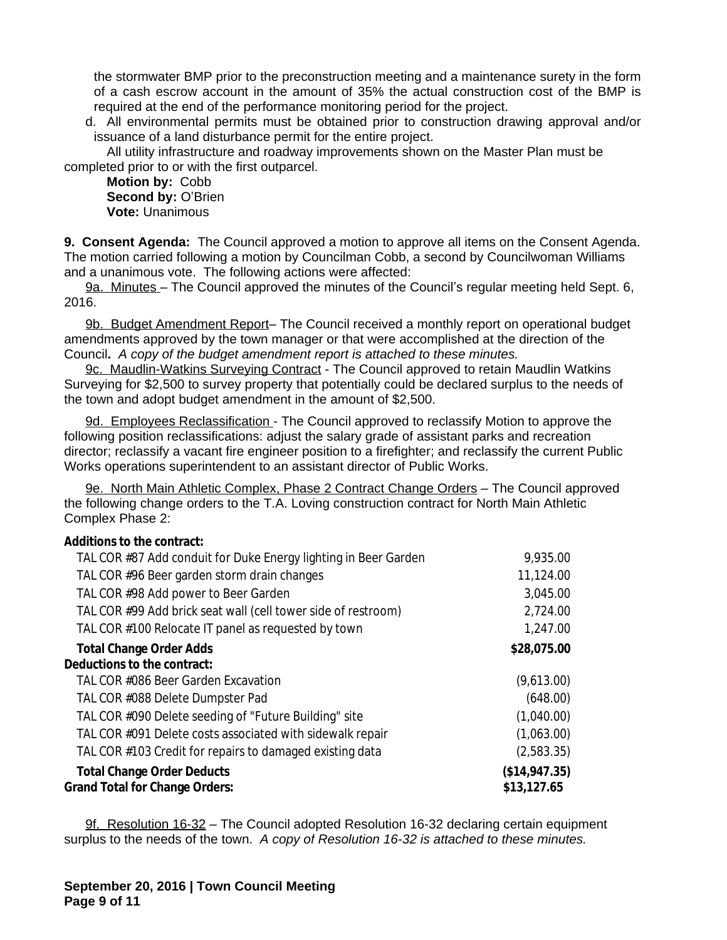the stormwater BMP prior to the preconstruction meeting and a maintenance surety in the form of a cash escrow account in the amount of 35% the actual construction cost of the BMP is required at the end of the performance monitoring period for the project.

d. All environmental permits must be obtained prior to construction drawing approval and/or issuance of a land disturbance permit for the entire project.

All utility infrastructure and roadway improvements shown on the Master Plan must be completed prior to or with the first outparcel.

**Motion by:** Cobb **Second by:** O'Brien **Vote:** Unanimous

**9. Consent Agenda:** The Council approved a motion to approve all items on the Consent Agenda. The motion carried following a motion by Councilman Cobb, a second by Councilwoman Williams and a unanimous vote. The following actions were affected:

9a. Minutes - The Council approved the minutes of the Council's regular meeting held Sept. 6, 2016.

9b. Budget Amendment Report– The Council received a monthly report on operational budget amendments approved by the town manager or that were accomplished at the direction of the Council**.** *A copy of the budget amendment report is attached to these minutes.*

9c. Maudlin-Watkins Surveying Contract - The Council approved to retain Maudlin Watkins Surveying for \$2,500 to survey property that potentially could be declared surplus to the needs of the town and adopt budget amendment in the amount of \$2,500.

9d. Employees Reclassification - The Council approved to reclassify Motion to approve the following position reclassifications: adjust the salary grade of assistant parks and recreation director; reclassify a vacant fire engineer position to a firefighter; and reclassify the current Public Works operations superintendent to an assistant director of Public Works.

9e. North Main Athletic Complex, Phase 2 Contract Change Orders – The Council approved the following change orders to the T.A. Loving construction contract for North Main Athletic Complex Phase 2:

## **Additions to the contract:**

| <b>Total Change Order Deducts</b><br><b>Grand Total for Change Orders:</b> | (\$14,947.35)<br>\$13,127.65 |
|----------------------------------------------------------------------------|------------------------------|
| TAL COR #103 Credit for repairs to damaged existing data                   | (2,583.35)                   |
| TAL COR #091 Delete costs associated with sidewalk repair                  | (1,063.00)                   |
| TAL COR #090 Delete seeding of "Future Building" site                      | (1,040.00)                   |
| TAL COR #088 Delete Dumpster Pad                                           | (648.00)                     |
| TAL COR #086 Beer Garden Excavation                                        | (9,613.00)                   |
| Deductions to the contract:                                                |                              |
| <b>Total Change Order Adds</b>                                             | \$28,075.00                  |
| TAL COR #100 Relocate IT panel as requested by town                        | 1,247.00                     |
| TAL COR #99 Add brick seat wall (cell tower side of restroom)              | 2,724.00                     |
| TAL COR #98 Add power to Beer Garden                                       | 3,045.00                     |
| TAL COR #96 Beer garden storm drain changes                                | 11,124.00                    |
| TAL COR #87 Add conduit for Duke Energy lighting in Beer Garden            | 9,935.00                     |

9f. Resolution 16-32 – The Council adopted Resolution 16-32 declaring certain equipment surplus to the needs of the town.*A copy of Resolution 16-32 is attached to these minutes.*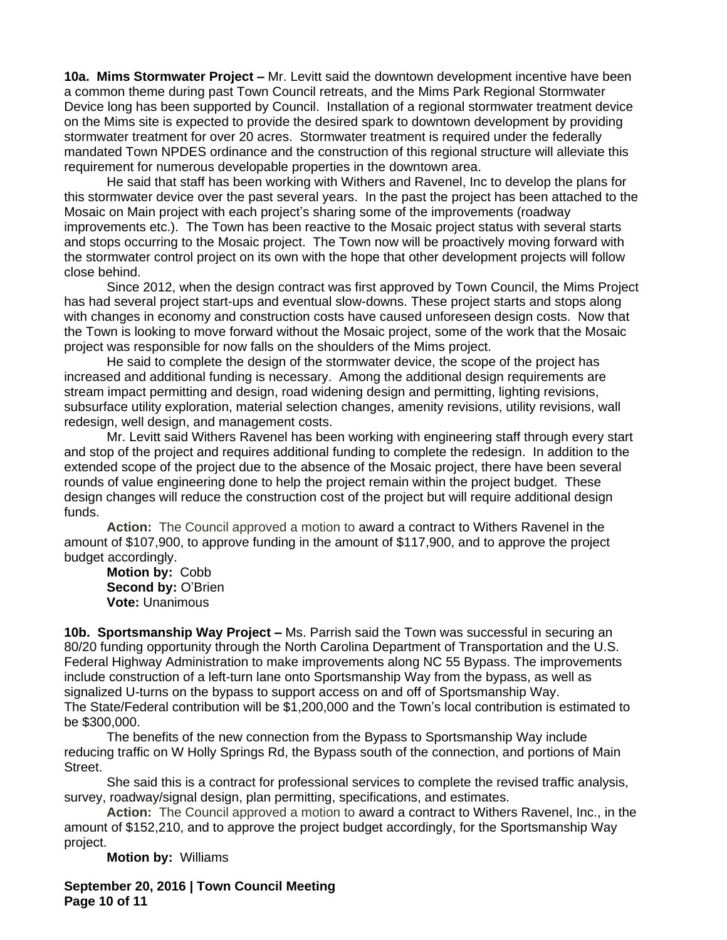**10a. Mims Stormwater Project –** Mr. Levitt said the downtown development incentive have been a common theme during past Town Council retreats, and the Mims Park Regional Stormwater Device long has been supported by Council. Installation of a regional stormwater treatment device on the Mims site is expected to provide the desired spark to downtown development by providing stormwater treatment for over 20 acres. Stormwater treatment is required under the federally mandated Town NPDES ordinance and the construction of this regional structure will alleviate this requirement for numerous developable properties in the downtown area.

He said that staff has been working with Withers and Ravenel, Inc to develop the plans for this stormwater device over the past several years. In the past the project has been attached to the Mosaic on Main project with each project's sharing some of the improvements (roadway improvements etc.). The Town has been reactive to the Mosaic project status with several starts and stops occurring to the Mosaic project. The Town now will be proactively moving forward with the stormwater control project on its own with the hope that other development projects will follow close behind.

Since 2012, when the design contract was first approved by Town Council, the Mims Project has had several project start-ups and eventual slow-downs. These project starts and stops along with changes in economy and construction costs have caused unforeseen design costs. Now that the Town is looking to move forward without the Mosaic project, some of the work that the Mosaic project was responsible for now falls on the shoulders of the Mims project.

He said to complete the design of the stormwater device, the scope of the project has increased and additional funding is necessary. Among the additional design requirements are stream impact permitting and design, road widening design and permitting, lighting revisions, subsurface utility exploration, material selection changes, amenity revisions, utility revisions, wall redesign, well design, and management costs.

Mr. Levitt said Withers Ravenel has been working with engineering staff through every start and stop of the project and requires additional funding to complete the redesign. In addition to the extended scope of the project due to the absence of the Mosaic project, there have been several rounds of value engineering done to help the project remain within the project budget. These design changes will reduce the construction cost of the project but will require additional design funds.

**Action:** The Council approved a motion to award a contract to Withers Ravenel in the amount of \$107,900, to approve funding in the amount of \$117,900, and to approve the project budget accordingly.

**Motion by:** Cobb **Second by:** O'Brien **Vote:** Unanimous

**10b. Sportsmanship Way Project –** Ms. Parrish said the Town was successful in securing an 80/20 funding opportunity through the North Carolina Department of Transportation and the U.S. Federal Highway Administration to make improvements along NC 55 Bypass. The improvements include construction of a left-turn lane onto Sportsmanship Way from the bypass, as well as signalized U-turns on the bypass to support access on and off of Sportsmanship Way. The State/Federal contribution will be \$1,200,000 and the Town's local contribution is estimated to be \$300,000.

The benefits of the new connection from the Bypass to Sportsmanship Way include reducing traffic on W Holly Springs Rd, the Bypass south of the connection, and portions of Main Street.

She said this is a contract for professional services to complete the revised traffic analysis, survey, roadway/signal design, plan permitting, specifications, and estimates.

**Action:** The Council approved a motion to award a contract to Withers Ravenel, Inc., in the amount of \$152,210, and to approve the project budget accordingly, for the Sportsmanship Way project.

**Motion by:** Williams

**September 20, 2016 | Town Council Meeting Page 10 of 11**